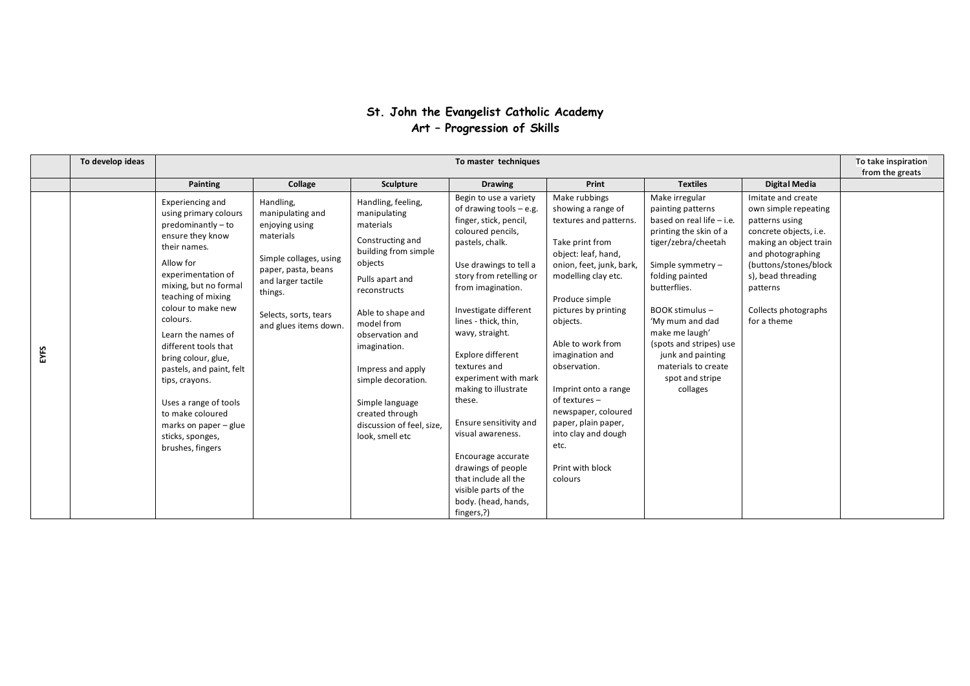## **St. John the Evangelist Catholic Academy Art – Progression of Skills**

|      | To develop ideas |                                                                                                                                                                                                                                                                                                                                                                                                                                                          |                                                                                                                                                                                                  |                                                                                                                                                                                                                                                                                                                                                  | To master techniques                                                                                                                                                                                                                                                                                                                                                                                                                                                                                                                               |                                                                                                                                                                                                                                                                                                                                                                                                                               |                                                                                                                                                                                                                                                                                                                                         |                                                                                                                                                                                                                                         | To take inspiration<br>from the greats |
|------|------------------|----------------------------------------------------------------------------------------------------------------------------------------------------------------------------------------------------------------------------------------------------------------------------------------------------------------------------------------------------------------------------------------------------------------------------------------------------------|--------------------------------------------------------------------------------------------------------------------------------------------------------------------------------------------------|--------------------------------------------------------------------------------------------------------------------------------------------------------------------------------------------------------------------------------------------------------------------------------------------------------------------------------------------------|----------------------------------------------------------------------------------------------------------------------------------------------------------------------------------------------------------------------------------------------------------------------------------------------------------------------------------------------------------------------------------------------------------------------------------------------------------------------------------------------------------------------------------------------------|-------------------------------------------------------------------------------------------------------------------------------------------------------------------------------------------------------------------------------------------------------------------------------------------------------------------------------------------------------------------------------------------------------------------------------|-----------------------------------------------------------------------------------------------------------------------------------------------------------------------------------------------------------------------------------------------------------------------------------------------------------------------------------------|-----------------------------------------------------------------------------------------------------------------------------------------------------------------------------------------------------------------------------------------|----------------------------------------|
|      |                  | Painting                                                                                                                                                                                                                                                                                                                                                                                                                                                 | Collage                                                                                                                                                                                          | Sculpture                                                                                                                                                                                                                                                                                                                                        | <b>Drawing</b>                                                                                                                                                                                                                                                                                                                                                                                                                                                                                                                                     | Print                                                                                                                                                                                                                                                                                                                                                                                                                         | <b>Textiles</b>                                                                                                                                                                                                                                                                                                                         | Digital Media                                                                                                                                                                                                                           |                                        |
| EYFS |                  | Experiencing and<br>using primary colours<br>predominantly - to<br>ensure they know<br>their names.<br>Allow for<br>experimentation of<br>mixing, but no formal<br>teaching of mixing<br>colour to make new<br>colours.<br>Learn the names of<br>different tools that<br>bring colour, glue,<br>pastels, and paint, felt<br>tips, crayons.<br>Uses a range of tools<br>to make coloured<br>marks on paper - glue<br>sticks, sponges,<br>brushes, fingers | Handling,<br>manipulating and<br>enjoying using<br>materials<br>Simple collages, using<br>paper, pasta, beans<br>and larger tactile<br>things.<br>Selects, sorts, tears<br>and glues items down. | Handling, feeling,<br>manipulating<br>materials<br>Constructing and<br>building from simple<br>objects<br>Pulls apart and<br>reconstructs<br>Able to shape and<br>model from<br>observation and<br>imagination.<br>Impress and apply<br>simple decoration.<br>Simple language<br>created through<br>discussion of feel, size,<br>look, smell etc | Begin to use a variety<br>of drawing tools $-$ e.g.<br>finger, stick, pencil,<br>coloured pencils,<br>pastels, chalk.<br>Use drawings to tell a<br>story from retelling or<br>from imagination.<br>Investigate different<br>lines - thick, thin,<br>wavy, straight.<br>Explore different<br>textures and<br>experiment with mark<br>making to illustrate<br>these.<br>Ensure sensitivity and<br>visual awareness.<br>Encourage accurate<br>drawings of people<br>that include all the<br>visible parts of the<br>body. (head, hands,<br>fingers,?) | Make rubbings<br>showing a range of<br>textures and patterns.<br>Take print from<br>object: leaf, hand,<br>onion, feet, junk, bark,<br>modelling clay etc.<br>Produce simple<br>pictures by printing<br>objects.<br>Able to work from<br>imagination and<br>observation.<br>Imprint onto a range<br>of textures –<br>newspaper, coloured<br>paper, plain paper,<br>into clay and dough<br>etc.<br>Print with block<br>colours | Make irregular<br>painting patterns<br>based on real life - i.e.<br>printing the skin of a<br>tiger/zebra/cheetah<br>Simple symmetry -<br>folding painted<br>butterflies.<br>BOOK stimulus -<br>'My mum and dad<br>make me laugh'<br>(spots and stripes) use<br>junk and painting<br>materials to create<br>spot and stripe<br>collages | Imitate and create<br>own simple repeating<br>patterns using<br>concrete objects, i.e.<br>making an object train<br>and photographing<br>(buttons/stones/block<br>s), bead threading<br>patterns<br>Collects photographs<br>for a theme |                                        |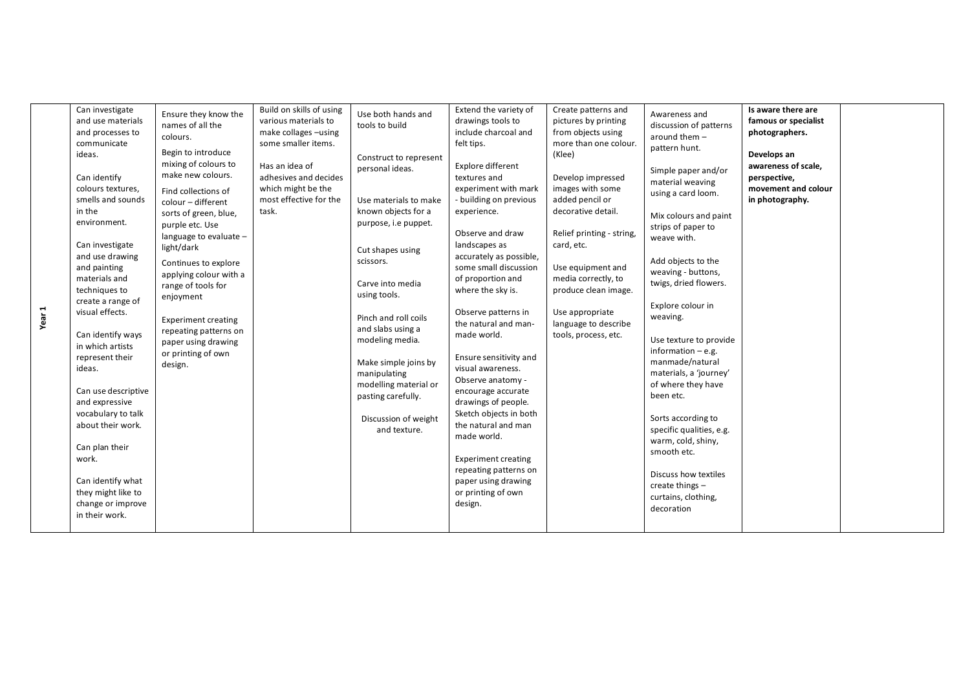| ī<br>Year | Can investigate<br>and use materials<br>and processes to<br>communicate<br>ideas.<br>Can identify<br>colours textures,<br>smells and sounds<br>in the<br>environment.<br>Can investigate<br>and use drawing<br>and painting<br>materials and<br>techniques to<br>create a range of<br>visual effects.<br>Can identify ways<br>in which artists<br>represent their<br>ideas.<br>Can use descriptive<br>and expressive<br>vocabulary to talk<br>about their work.<br>Can plan their<br>work.<br>Can identify what<br>they might like to<br>change or improve<br>in their work. | Ensure they know the<br>names of all the<br>colours.<br>Begin to introduce<br>mixing of colours to<br>make new colours.<br>Find collections of<br>colour - different<br>sorts of green, blue,<br>purple etc. Use<br>language to evaluate -<br>light/dark<br>Continues to explore<br>applying colour with a<br>range of tools for<br>enjoyment<br><b>Experiment creating</b><br>repeating patterns on<br>paper using drawing<br>or printing of own<br>design. | Build on skills of using<br>various materials to<br>make collages -using<br>some smaller items.<br>Has an idea of<br>adhesives and decides<br>which might be the<br>most effective for the<br>task. | Use both hands and<br>tools to build<br>Construct to represent<br>personal ideas.<br>Use materials to make<br>known objects for a<br>purpose, i.e puppet.<br>Cut shapes using<br>scissors.<br>Carve into media<br>using tools.<br>Pinch and roll coils<br>and slabs using a<br>modeling media.<br>Make simple joins by<br>manipulating<br>modelling material or<br>pasting carefully.<br>Discussion of weight<br>and texture. | Extend the variety of<br>drawings tools to<br>include charcoal and<br>felt tips.<br>Explore different<br>textures and<br>experiment with mark<br>- building on previous<br>experience.<br>Observe and draw<br>landscapes as<br>accurately as possible,<br>some small discussion<br>of proportion and<br>where the sky is.<br>Observe patterns in<br>the natural and man-<br>made world.<br>Ensure sensitivity and<br>visual awareness.<br>Observe anatomy -<br>encourage accurate<br>drawings of people.<br>Sketch objects in both<br>the natural and man<br>made world.<br><b>Experiment creating</b><br>repeating patterns on<br>paper using drawing<br>or printing of own<br>design. | Create patterns and<br>pictures by printing<br>from objects using<br>more than one colour.<br>(Klee)<br>Develop impressed<br>images with some<br>added pencil or<br>decorative detail.<br>Relief printing - string,<br>card, etc.<br>Use equipment and<br>media correctly, to<br>produce clean image.<br>Use appropriate<br>language to describe<br>tools, process, etc. | Awareness and<br>discussion of patterns<br>around them $-$<br>pattern hunt.<br>Simple paper and/or<br>material weaving<br>using a card loom.<br>Mix colours and paint<br>strips of paper to<br>weave with.<br>Add objects to the<br>weaving - buttons,<br>twigs, dried flowers.<br>Explore colour in<br>weaving.<br>Use texture to provide<br>information $-$ e.g.<br>manmade/natural<br>materials, a 'journey'<br>of where they have<br>been etc.<br>Sorts according to<br>specific qualities, e.g.<br>warm, cold, shiny,<br>smooth etc.<br>Discuss how textiles<br>create things -<br>curtains, clothing,<br>decoration | Is aware there are<br>famous or specialist<br>photographers.<br>Develops an<br>awareness of scale,<br>perspective,<br>movement and colour<br>in photography. |  |
|-----------|------------------------------------------------------------------------------------------------------------------------------------------------------------------------------------------------------------------------------------------------------------------------------------------------------------------------------------------------------------------------------------------------------------------------------------------------------------------------------------------------------------------------------------------------------------------------------|--------------------------------------------------------------------------------------------------------------------------------------------------------------------------------------------------------------------------------------------------------------------------------------------------------------------------------------------------------------------------------------------------------------------------------------------------------------|-----------------------------------------------------------------------------------------------------------------------------------------------------------------------------------------------------|-------------------------------------------------------------------------------------------------------------------------------------------------------------------------------------------------------------------------------------------------------------------------------------------------------------------------------------------------------------------------------------------------------------------------------|-----------------------------------------------------------------------------------------------------------------------------------------------------------------------------------------------------------------------------------------------------------------------------------------------------------------------------------------------------------------------------------------------------------------------------------------------------------------------------------------------------------------------------------------------------------------------------------------------------------------------------------------------------------------------------------------|--------------------------------------------------------------------------------------------------------------------------------------------------------------------------------------------------------------------------------------------------------------------------------------------------------------------------------------------------------------------------|---------------------------------------------------------------------------------------------------------------------------------------------------------------------------------------------------------------------------------------------------------------------------------------------------------------------------------------------------------------------------------------------------------------------------------------------------------------------------------------------------------------------------------------------------------------------------------------------------------------------------|--------------------------------------------------------------------------------------------------------------------------------------------------------------|--|
|-----------|------------------------------------------------------------------------------------------------------------------------------------------------------------------------------------------------------------------------------------------------------------------------------------------------------------------------------------------------------------------------------------------------------------------------------------------------------------------------------------------------------------------------------------------------------------------------------|--------------------------------------------------------------------------------------------------------------------------------------------------------------------------------------------------------------------------------------------------------------------------------------------------------------------------------------------------------------------------------------------------------------------------------------------------------------|-----------------------------------------------------------------------------------------------------------------------------------------------------------------------------------------------------|-------------------------------------------------------------------------------------------------------------------------------------------------------------------------------------------------------------------------------------------------------------------------------------------------------------------------------------------------------------------------------------------------------------------------------|-----------------------------------------------------------------------------------------------------------------------------------------------------------------------------------------------------------------------------------------------------------------------------------------------------------------------------------------------------------------------------------------------------------------------------------------------------------------------------------------------------------------------------------------------------------------------------------------------------------------------------------------------------------------------------------------|--------------------------------------------------------------------------------------------------------------------------------------------------------------------------------------------------------------------------------------------------------------------------------------------------------------------------------------------------------------------------|---------------------------------------------------------------------------------------------------------------------------------------------------------------------------------------------------------------------------------------------------------------------------------------------------------------------------------------------------------------------------------------------------------------------------------------------------------------------------------------------------------------------------------------------------------------------------------------------------------------------------|--------------------------------------------------------------------------------------------------------------------------------------------------------------|--|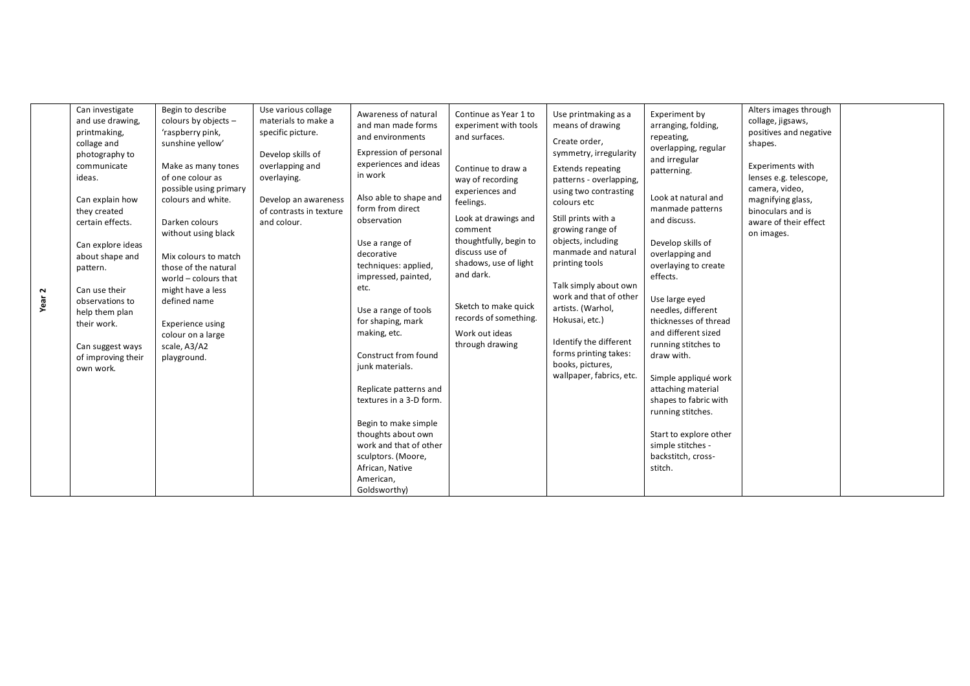|      | Can investigate    | Begin to describe      | Use various collage     |                         |                        |                          |                        | Alters images through   |  |
|------|--------------------|------------------------|-------------------------|-------------------------|------------------------|--------------------------|------------------------|-------------------------|--|
|      | and use drawing,   | colours by objects -   | materials to make a     | Awareness of natural    | Continue as Year 1 to  | Use printmaking as a     | Experiment by          | collage, jigsaws,       |  |
|      | printmaking,       | 'raspberry pink,       | specific picture.       | and man made forms      | experiment with tools  | means of drawing         | arranging, folding,    | positives and negative  |  |
|      | collage and        | sunshine yellow'       |                         | and environments        | and surfaces.          | Create order,            | repeating,             | shapes.                 |  |
|      | photography to     |                        | Develop skills of       | Expression of personal  |                        | symmetry, irregularity   | overlapping, regular   |                         |  |
|      | communicate        | Make as many tones     | overlapping and         | experiences and ideas   |                        |                          | and irregular          | <b>Experiments with</b> |  |
|      | ideas.             | of one colour as       | overlaying.             | in work                 | Continue to draw a     | <b>Extends repeating</b> | patterning.            | lenses e.g. telescope,  |  |
|      |                    | possible using primary |                         |                         | way of recording       | patterns - overlapping,  |                        | camera, video,          |  |
|      | Can explain how    | colours and white.     | Develop an awareness    | Also able to shape and  | experiences and        | using two contrasting    | Look at natural and    | magnifying glass,       |  |
|      | they created       |                        | of contrasts in texture | form from direct        | feelings.              | colours etc              | manmade patterns       | binoculars and is       |  |
|      | certain effects.   | Darken colours         | and colour.             | observation             | Look at drawings and   | Still prints with a      | and discuss.           | aware of their effect   |  |
|      |                    | without using black    |                         |                         | comment                | growing range of         |                        | on images.              |  |
|      | Can explore ideas  |                        |                         | Use a range of          | thoughtfully, begin to | objects, including       | Develop skills of      |                         |  |
|      | about shape and    | Mix colours to match   |                         | decorative              | discuss use of         | manmade and natural      | overlapping and        |                         |  |
|      | pattern.           | those of the natural   |                         | techniques: applied,    | shadows, use of light  | printing tools           | overlaying to create   |                         |  |
|      |                    | world - colours that   |                         | impressed, painted,     | and dark.              |                          | effects.               |                         |  |
| 2    | Can use their      | might have a less      |                         | etc.                    |                        | Talk simply about own    |                        |                         |  |
| Year | observations to    | defined name           |                         |                         |                        | work and that of other   | Use large eyed         |                         |  |
|      | help them plan     |                        |                         | Use a range of tools    | Sketch to make quick   | artists. (Warhol,        | needles, different     |                         |  |
|      | their work.        | Experience using       |                         | for shaping, mark       | records of something.  | Hokusai, etc.)           | thicknesses of thread  |                         |  |
|      |                    | colour on a large      |                         | making, etc.            | Work out ideas         |                          | and different sized    |                         |  |
|      | Can suggest ways   | scale, A3/A2           |                         |                         | through drawing        | Identify the different   | running stitches to    |                         |  |
|      | of improving their | playground.            |                         | Construct from found    |                        | forms printing takes:    | draw with.             |                         |  |
|      | own work.          |                        |                         | junk materials.         |                        | books, pictures,         |                        |                         |  |
|      |                    |                        |                         |                         |                        | wallpaper, fabrics, etc. | Simple appliqué work   |                         |  |
|      |                    |                        |                         | Replicate patterns and  |                        |                          | attaching material     |                         |  |
|      |                    |                        |                         | textures in a 3-D form. |                        |                          | shapes to fabric with  |                         |  |
|      |                    |                        |                         |                         |                        |                          | running stitches.      |                         |  |
|      |                    |                        |                         | Begin to make simple    |                        |                          |                        |                         |  |
|      |                    |                        |                         | thoughts about own      |                        |                          | Start to explore other |                         |  |
|      |                    |                        |                         | work and that of other  |                        |                          | simple stitches -      |                         |  |
|      |                    |                        |                         | sculptors. (Moore,      |                        |                          | backstitch, cross-     |                         |  |
|      |                    |                        |                         | African, Native         |                        |                          | stitch.                |                         |  |
|      |                    |                        |                         | American,               |                        |                          |                        |                         |  |
|      |                    |                        |                         | Goldsworthy)            |                        |                          |                        |                         |  |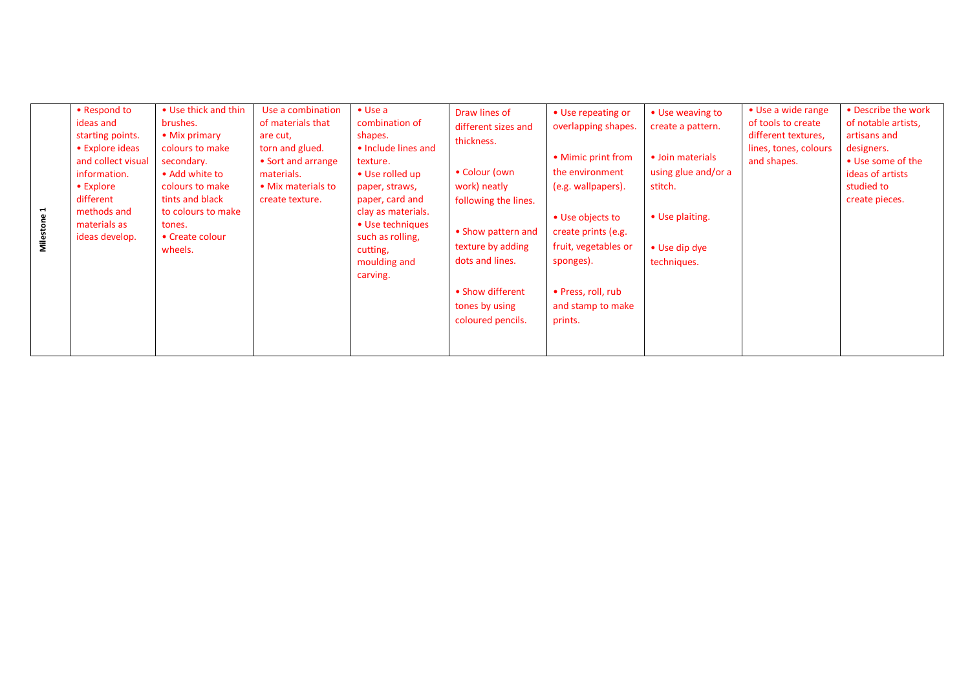| $\blacksquare$<br>Milestone | • Respond to<br>ideas and<br>starting points.<br>• Explore ideas<br>and collect visual<br>information.<br>$\bullet$ Explore<br>different<br>methods and<br>materials as<br>ideas develop. | • Use thick and thin<br>brushes.<br>• Mix primary<br>colours to make<br>secondary.<br>• Add white to<br>colours to make<br>tints and black<br>to colours to make<br>tones.<br>• Create colour<br>wheels. | Use a combination<br>of materials that<br>are cut,<br>torn and glued.<br>• Sort and arrange<br>materials.<br>• Mix materials to<br>create texture. | $\bullet$ Use a<br>combination of<br>shapes.<br>• Include lines and<br>texture.<br>• Use rolled up<br>paper, straws,<br>paper, card and<br>clay as materials.<br>• Use techniques<br>such as rolling.<br>cutting,<br>moulding and<br>carving. | Draw lines of<br>different sizes and<br>thickness.<br>• Colour (own<br>work) neatly<br>following the lines.<br>• Show pattern and<br>texture by adding<br>dots and lines.<br>• Show different<br>tones by using<br>coloured pencils. | • Use repeating or<br>overlapping shapes.<br>• Mimic print from<br>the environment<br>(e.g. wallpapers).<br>• Use objects to<br>create prints (e.g.<br>fruit, vegetables or<br>sponges).<br>• Press, roll, rub<br>and stamp to make<br>prints. | • Use weaving to<br>create a pattern.<br>• Join materials<br>using glue and/or a<br>stitch.<br>• Use plaiting.<br>• Use dip dye<br>techniques. | • Use a wide range<br>of tools to create<br>different textures,<br>lines, tones, colours<br>and shapes. | • Describe the work<br>of notable artists,<br>artisans and<br>designers.<br>• Use some of the<br>ideas of artists<br>studied to<br>create pieces. |
|-----------------------------|-------------------------------------------------------------------------------------------------------------------------------------------------------------------------------------------|----------------------------------------------------------------------------------------------------------------------------------------------------------------------------------------------------------|----------------------------------------------------------------------------------------------------------------------------------------------------|-----------------------------------------------------------------------------------------------------------------------------------------------------------------------------------------------------------------------------------------------|--------------------------------------------------------------------------------------------------------------------------------------------------------------------------------------------------------------------------------------|------------------------------------------------------------------------------------------------------------------------------------------------------------------------------------------------------------------------------------------------|------------------------------------------------------------------------------------------------------------------------------------------------|---------------------------------------------------------------------------------------------------------|---------------------------------------------------------------------------------------------------------------------------------------------------|
|-----------------------------|-------------------------------------------------------------------------------------------------------------------------------------------------------------------------------------------|----------------------------------------------------------------------------------------------------------------------------------------------------------------------------------------------------------|----------------------------------------------------------------------------------------------------------------------------------------------------|-----------------------------------------------------------------------------------------------------------------------------------------------------------------------------------------------------------------------------------------------|--------------------------------------------------------------------------------------------------------------------------------------------------------------------------------------------------------------------------------------|------------------------------------------------------------------------------------------------------------------------------------------------------------------------------------------------------------------------------------------------|------------------------------------------------------------------------------------------------------------------------------------------------|---------------------------------------------------------------------------------------------------------|---------------------------------------------------------------------------------------------------------------------------------------------------|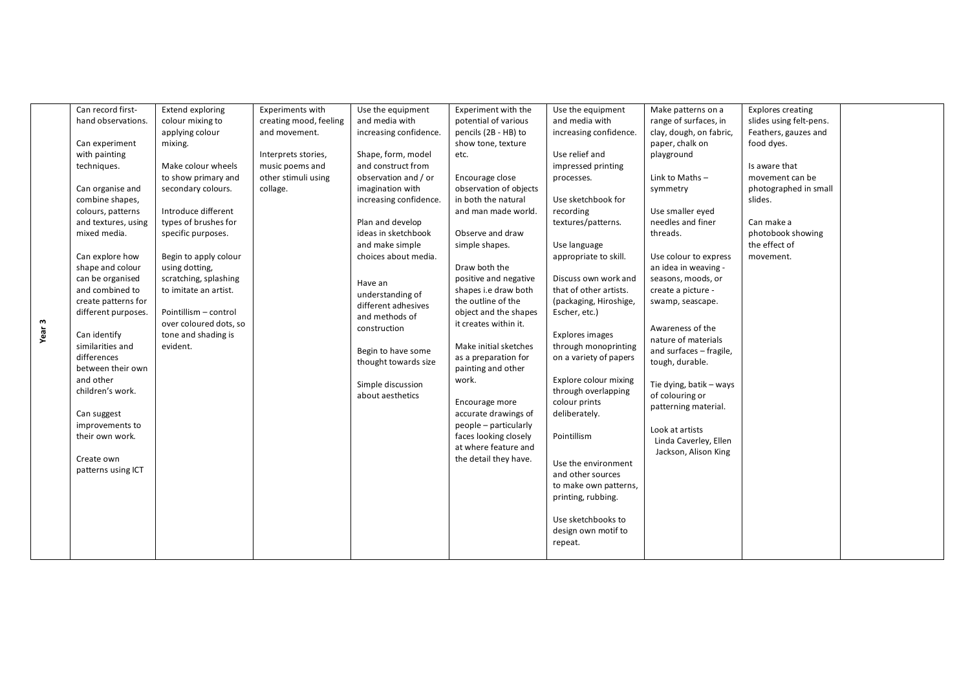|      | Can record first-                | <b>Extend exploring</b>         | <b>Experiments with</b> | Use the equipment      | Experiment with the    | Use the equipment                              | Make patterns on a      | <b>Explores creating</b> |  |
|------|----------------------------------|---------------------------------|-------------------------|------------------------|------------------------|------------------------------------------------|-------------------------|--------------------------|--|
|      | hand observations.               | colour mixing to                | creating mood, feeling  | and media with         | potential of various   | and media with                                 | range of surfaces, in   | slides using felt-pens.  |  |
|      |                                  | applying colour                 | and movement.           | increasing confidence. | pencils (2B - HB) to   | increasing confidence.                         | clay, dough, on fabric, | Feathers, gauzes and     |  |
|      | Can experiment                   | mixing.                         |                         |                        | show tone, texture     |                                                | paper, chalk on         | food dyes.               |  |
|      | with painting                    |                                 | Interprets stories,     | Shape, form, model     | etc.                   | Use relief and                                 | playground              |                          |  |
|      | techniques.                      | Make colour wheels              | music poems and         | and construct from     |                        | impressed printing                             |                         | Is aware that            |  |
|      |                                  | to show primary and             | other stimuli using     | observation and / or   | Encourage close        | processes.                                     | Link to Maths-          | movement can be          |  |
|      | Can organise and                 | secondary colours.              | collage.                | imagination with       | observation of objects |                                                | symmetry                | photographed in small    |  |
|      | combine shapes,                  |                                 |                         | increasing confidence. | in both the natural    | Use sketchbook for                             |                         | slides.                  |  |
|      | colours, patterns                | Introduce different             |                         |                        | and man made world.    | recording                                      | Use smaller eved        |                          |  |
|      | and textures, using              | types of brushes for            |                         | Plan and develop       |                        | textures/patterns.                             | needles and finer       | Can make a               |  |
|      | mixed media.                     | specific purposes.              |                         | ideas in sketchbook    | Observe and draw       |                                                | threads.                | photobook showing        |  |
|      |                                  |                                 |                         | and make simple        | simple shapes.         | Use language                                   |                         | the effect of            |  |
|      | Can explore how                  | Begin to apply colour           |                         | choices about media.   |                        | appropriate to skill.                          | Use colour to express   | movement.                |  |
|      | shape and colour                 | using dotting,                  |                         |                        | Draw both the          |                                                | an idea in weaving -    |                          |  |
|      | can be organised                 | scratching, splashing           |                         | Have an                | positive and negative  | Discuss own work and                           | seasons, moods, or      |                          |  |
|      | and combined to                  | to imitate an artist.           |                         | understanding of       | shapes i.e draw both   | that of other artists.                         | create a picture -      |                          |  |
|      | create patterns for              |                                 |                         | different adhesives    | the outline of the     | (packaging, Hiroshige,                         | swamp, seascape.        |                          |  |
| m    | different purposes.              | Pointillism - control           |                         | and methods of         | object and the shapes  | Escher, etc.)                                  |                         |                          |  |
| Year |                                  | over coloured dots, so          |                         | construction           | it creates within it.  |                                                | Awareness of the        |                          |  |
|      | Can identify<br>similarities and | tone and shading is<br>evident. |                         |                        | Make initial sketches  | Explores images                                | nature of materials     |                          |  |
|      | differences                      |                                 |                         | Begin to have some     | as a preparation for   | through monoprinting<br>on a variety of papers | and surfaces - fragile, |                          |  |
|      | between their own                |                                 |                         | thought towards size   | painting and other     |                                                | tough, durable.         |                          |  |
|      | and other                        |                                 |                         |                        | work.                  | Explore colour mixing                          |                         |                          |  |
|      | children's work.                 |                                 |                         | Simple discussion      |                        | through overlapping                            | Tie dying, batik - ways |                          |  |
|      |                                  |                                 |                         | about aesthetics       | Encourage more         | colour prints                                  | of colouring or         |                          |  |
|      | Can suggest                      |                                 |                         |                        | accurate drawings of   | deliberately.                                  | patterning material.    |                          |  |
|      | improvements to                  |                                 |                         |                        | people - particularly  |                                                |                         |                          |  |
|      | their own work.                  |                                 |                         |                        | faces looking closely  | Pointillism                                    | Look at artists         |                          |  |
|      |                                  |                                 |                         |                        | at where feature and   |                                                | Linda Caverley, Ellen   |                          |  |
|      | Create own                       |                                 |                         |                        | the detail they have.  |                                                | Jackson, Alison King    |                          |  |
|      | patterns using ICT               |                                 |                         |                        |                        | Use the environment                            |                         |                          |  |
|      |                                  |                                 |                         |                        |                        | and other sources                              |                         |                          |  |
|      |                                  |                                 |                         |                        |                        | to make own patterns,                          |                         |                          |  |
|      |                                  |                                 |                         |                        |                        | printing, rubbing.                             |                         |                          |  |
|      |                                  |                                 |                         |                        |                        | Use sketchbooks to                             |                         |                          |  |
|      |                                  |                                 |                         |                        |                        | design own motif to                            |                         |                          |  |
|      |                                  |                                 |                         |                        |                        | repeat.                                        |                         |                          |  |
|      |                                  |                                 |                         |                        |                        |                                                |                         |                          |  |
|      |                                  |                                 |                         |                        |                        |                                                |                         |                          |  |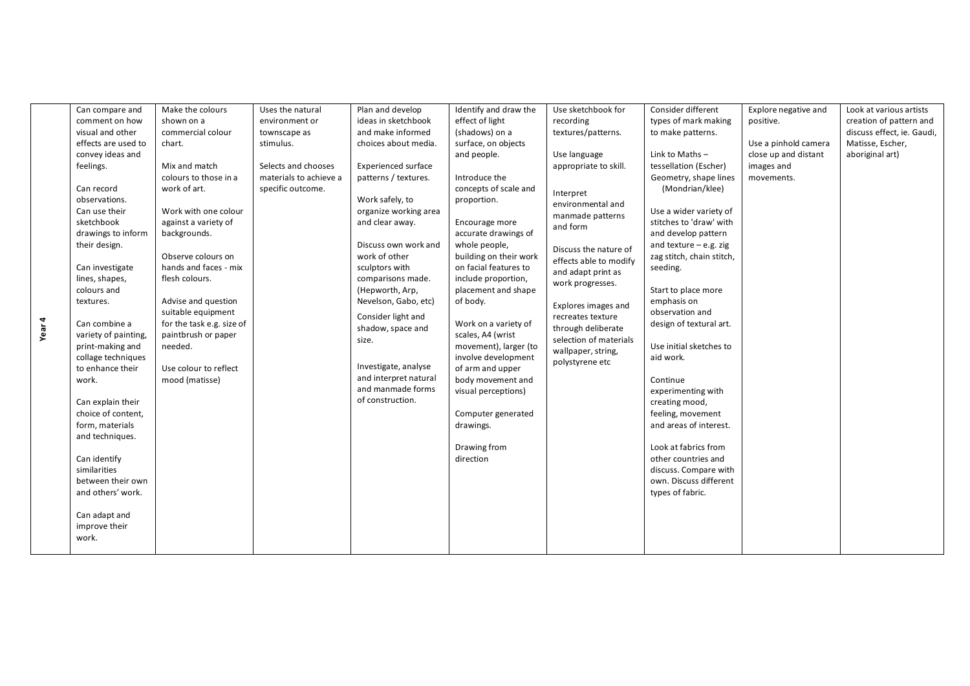|        | Can compare and      | Make the colours          | Uses the natural       | Plan and develop           | Identify and draw the  | Use sketchbook for     | Consider different        | Explore negative and | Look at various artists    |
|--------|----------------------|---------------------------|------------------------|----------------------------|------------------------|------------------------|---------------------------|----------------------|----------------------------|
|        | comment on how       | shown on a                | environment or         | ideas in sketchbook        | effect of light        | recording              | types of mark making      | positive.            | creation of pattern and    |
|        | visual and other     | commercial colour         | townscape as           | and make informed          | (shadows) on a         | textures/patterns.     | to make patterns.         |                      | discuss effect, ie. Gaudi, |
|        | effects are used to  | chart.                    | stimulus.              | choices about media.       | surface, on objects    |                        |                           | Use a pinhold camera | Matisse, Escher,           |
|        | convey ideas and     |                           |                        |                            | and people.            | Use language           | Link to Maths $-$         | close up and distant | aboriginal art)            |
|        | feelings.            | Mix and match             | Selects and chooses    | <b>Experienced surface</b> |                        | appropriate to skill.  | tessellation (Escher)     | images and           |                            |
|        |                      | colours to those in a     | materials to achieve a | patterns / textures.       | Introduce the          |                        | Geometry, shape lines     | movements.           |                            |
|        | Can record           | work of art.              | specific outcome.      |                            | concepts of scale and  | Interpret              | (Mondrian/klee)           |                      |                            |
|        | observations.        |                           |                        | Work safely, to            | proportion.            | environmental and      |                           |                      |                            |
|        | Can use their        | Work with one colour      |                        | organize working area      |                        | manmade patterns       | Use a wider variety of    |                      |                            |
|        | sketchbook           | against a variety of      |                        | and clear away.            | Encourage more         | and form               | stitches to 'draw' with   |                      |                            |
|        | drawings to inform   | backgrounds.              |                        |                            | accurate drawings of   |                        | and develop pattern       |                      |                            |
|        | their design.        |                           |                        | Discuss own work and       | whole people,          | Discuss the nature of  | and texture $-$ e.g. zig  |                      |                            |
|        |                      | Observe colours on        |                        | work of other              | building on their work | effects able to modify | zag stitch, chain stitch, |                      |                            |
|        | Can investigate      | hands and faces - mix     |                        | sculptors with             | on facial features to  | and adapt print as     | seeding.                  |                      |                            |
|        | lines, shapes,       | flesh colours.            |                        | comparisons made.          | include proportion,    | work progresses.       |                           |                      |                            |
|        | colours and          |                           |                        | (Hepworth, Arp,            | placement and shape    |                        | Start to place more       |                      |                            |
|        | textures.            | Advise and question       |                        | Nevelson, Gabo, etc)       | of body.               | Explores images and    | emphasis on               |                      |                            |
|        |                      | suitable equipment        |                        | Consider light and         |                        | recreates texture      | observation and           |                      |                            |
| Year 4 | Can combine a        | for the task e.g. size of |                        | shadow, space and          | Work on a variety of   | through deliberate     | design of textural art.   |                      |                            |
|        | variety of painting, | paintbrush or paper       |                        | size.                      | scales, A4 (wrist      | selection of materials |                           |                      |                            |
|        | print-making and     | needed.                   |                        |                            | movement), larger (to  | wallpaper, string,     | Use initial sketches to   |                      |                            |
|        | collage techniques   |                           |                        |                            | involve development    | polystyrene etc        | aid work.                 |                      |                            |
|        | to enhance their     | Use colour to reflect     |                        | Investigate, analyse       | of arm and upper       |                        |                           |                      |                            |
|        | work.                | mood (matisse)            |                        | and interpret natural      | body movement and      |                        | Continue                  |                      |                            |
|        |                      |                           |                        | and manmade forms          | visual perceptions)    |                        | experimenting with        |                      |                            |
|        | Can explain their    |                           |                        | of construction.           |                        |                        | creating mood,            |                      |                            |
|        | choice of content,   |                           |                        |                            | Computer generated     |                        | feeling, movement         |                      |                            |
|        | form, materials      |                           |                        |                            | drawings.              |                        | and areas of interest.    |                      |                            |
|        | and techniques.      |                           |                        |                            |                        |                        |                           |                      |                            |
|        |                      |                           |                        |                            | Drawing from           |                        | Look at fabrics from      |                      |                            |
|        | Can identify         |                           |                        |                            | direction              |                        | other countries and       |                      |                            |
|        | similarities         |                           |                        |                            |                        |                        | discuss. Compare with     |                      |                            |
|        | between their own    |                           |                        |                            |                        |                        | own. Discuss different    |                      |                            |
|        | and others' work.    |                           |                        |                            |                        |                        | types of fabric.          |                      |                            |
|        |                      |                           |                        |                            |                        |                        |                           |                      |                            |
|        | Can adapt and        |                           |                        |                            |                        |                        |                           |                      |                            |
|        | improve their        |                           |                        |                            |                        |                        |                           |                      |                            |
|        | work.                |                           |                        |                            |                        |                        |                           |                      |                            |
|        |                      |                           |                        |                            |                        |                        |                           |                      |                            |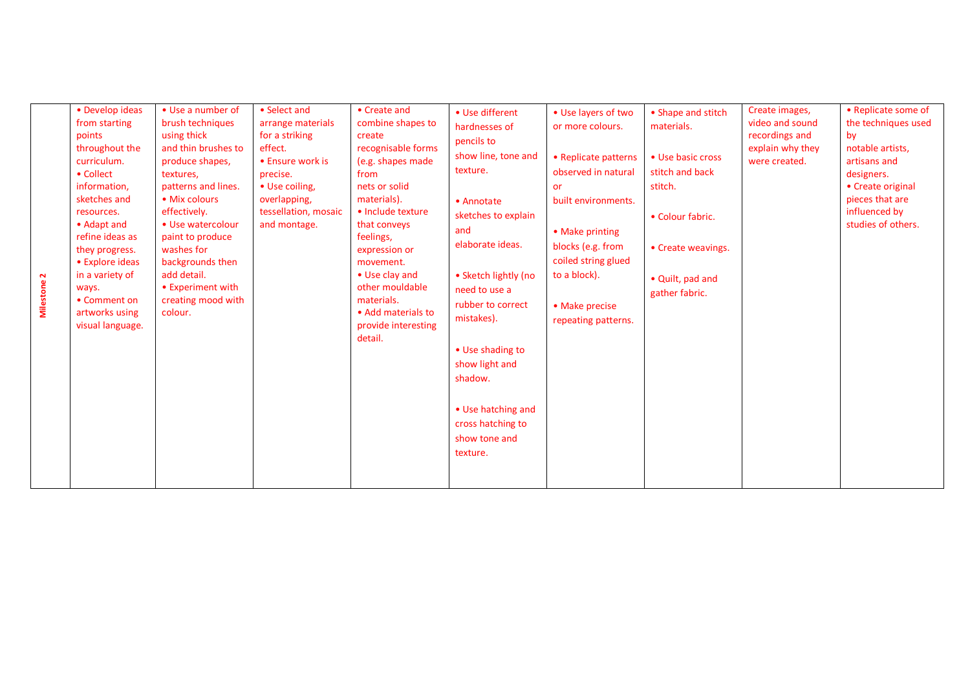| $\mathbf{N}$<br>Milestone | • Develop ideas<br>from starting<br>points<br>throughout the<br>curriculum.<br>• Collect<br>information,<br>sketches and<br>resources.<br>• Adapt and<br>refine ideas as<br>they progress.<br>• Explore ideas<br>in a variety of<br>ways.<br>• Comment on<br>artworks using<br>visual language. | • Use a number of<br>brush techniques<br>using thick<br>and thin brushes to<br>produce shapes,<br>textures,<br>patterns and lines.<br>• Mix colours<br>effectively.<br>• Use watercolour<br>paint to produce<br>washes for<br>backgrounds then<br>add detail.<br>• Experiment with<br>creating mood with<br>colour. | • Select and<br>arrange materials<br>for a striking<br>effect.<br>• Ensure work is<br>precise.<br>• Use coiling,<br>overlapping,<br>tessellation, mosaic<br>and montage. | • Create and<br>combine shapes to<br>create<br>recognisable forms<br>(e.g. shapes made<br>from<br>nets or solid<br>materials).<br>· Include texture<br>that conveys<br>feelings,<br>expression or<br>movement.<br>• Use clay and<br>other mouldable<br>materials.<br>• Add materials to<br>provide interesting<br>detail. | • Use different<br>hardnesses of<br>pencils to<br>show line, tone and<br>texture.<br>• Annotate<br>sketches to explain<br>and<br>elaborate ideas.<br>• Sketch lightly (no<br>need to use a<br>rubber to correct<br>mistakes).<br>• Use shading to<br>show light and<br>shadow.<br>• Use hatching and<br>cross hatching to<br>show tone and<br>texture. | • Use layers of two<br>or more colours.<br>• Replicate patterns<br>observed in natural<br><b>or</b><br>built environments.<br>• Make printing<br>blocks (e.g. from<br>coiled string glued<br>to a block).<br>• Make precise<br>repeating patterns. | • Shape and stitch<br>materials.<br>• Use basic cross<br>stitch and back<br>stitch.<br>• Colour fabric.<br>• Create weavings.<br>• Quilt, pad and<br>gather fabric. | Create images,<br>video and sound<br>recordings and<br>explain why they<br>were created. | • Replicate some of<br>the techniques used<br>by<br>notable artists,<br>artisans and<br>designers.<br>• Create original<br>pieces that are<br>influenced by<br>studies of others. |
|---------------------------|-------------------------------------------------------------------------------------------------------------------------------------------------------------------------------------------------------------------------------------------------------------------------------------------------|---------------------------------------------------------------------------------------------------------------------------------------------------------------------------------------------------------------------------------------------------------------------------------------------------------------------|--------------------------------------------------------------------------------------------------------------------------------------------------------------------------|---------------------------------------------------------------------------------------------------------------------------------------------------------------------------------------------------------------------------------------------------------------------------------------------------------------------------|--------------------------------------------------------------------------------------------------------------------------------------------------------------------------------------------------------------------------------------------------------------------------------------------------------------------------------------------------------|----------------------------------------------------------------------------------------------------------------------------------------------------------------------------------------------------------------------------------------------------|---------------------------------------------------------------------------------------------------------------------------------------------------------------------|------------------------------------------------------------------------------------------|-----------------------------------------------------------------------------------------------------------------------------------------------------------------------------------|
|---------------------------|-------------------------------------------------------------------------------------------------------------------------------------------------------------------------------------------------------------------------------------------------------------------------------------------------|---------------------------------------------------------------------------------------------------------------------------------------------------------------------------------------------------------------------------------------------------------------------------------------------------------------------|--------------------------------------------------------------------------------------------------------------------------------------------------------------------------|---------------------------------------------------------------------------------------------------------------------------------------------------------------------------------------------------------------------------------------------------------------------------------------------------------------------------|--------------------------------------------------------------------------------------------------------------------------------------------------------------------------------------------------------------------------------------------------------------------------------------------------------------------------------------------------------|----------------------------------------------------------------------------------------------------------------------------------------------------------------------------------------------------------------------------------------------------|---------------------------------------------------------------------------------------------------------------------------------------------------------------------|------------------------------------------------------------------------------------------|-----------------------------------------------------------------------------------------------------------------------------------------------------------------------------------|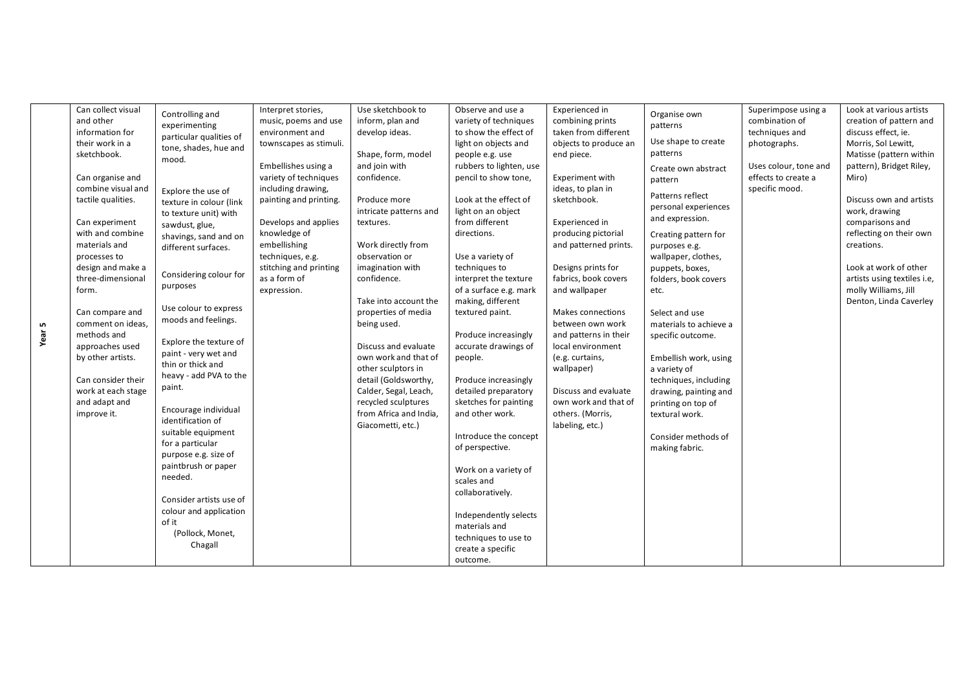|             | Can collect visual<br>and other<br>information for<br>their work in a<br>sketchbook.                                                                                                                                                                                                                                                                              | Controlling and<br>experimenting<br>particular qualities of<br>tone, shades, hue and<br>mood.                                                                                                                                                                                                                                                                                                                                                                                                                                                                                           | Interpret stories,<br>music, poems and use<br>environment and<br>townscapes as stimuli.<br>Embellishes using a                                                                                             | Use sketchbook to<br>inform, plan and<br>develop ideas.<br>Shape, form, model<br>and join with                                                                                                                                                                                                                                                                                                            | Observe and use a<br>variety of techniques<br>to show the effect of<br>light on objects and<br>people e.g. use<br>rubbers to lighten, use                                                                                                                                                                                                                                                                                                                                                                                                                                                | Experienced in<br>combining prints<br>taken from different<br>objects to produce an<br>end piece.                                                                                                                                                                                                                                                                                                   | Organise own<br>patterns<br>Use shape to create<br>patterns<br>Create own abstract                                                                                                                                                                                                                                                                                                                                                     | Superimpose using a<br>combination of<br>techniques and<br>photographs.<br>Uses colour, tone and | Look at various artists<br>creation of pattern and<br>discuss effect, ie.<br>Morris, Sol Lewitt,<br>Matisse (pattern within<br>pattern), Bridget Riley,                                                                 |
|-------------|-------------------------------------------------------------------------------------------------------------------------------------------------------------------------------------------------------------------------------------------------------------------------------------------------------------------------------------------------------------------|-----------------------------------------------------------------------------------------------------------------------------------------------------------------------------------------------------------------------------------------------------------------------------------------------------------------------------------------------------------------------------------------------------------------------------------------------------------------------------------------------------------------------------------------------------------------------------------------|------------------------------------------------------------------------------------------------------------------------------------------------------------------------------------------------------------|-----------------------------------------------------------------------------------------------------------------------------------------------------------------------------------------------------------------------------------------------------------------------------------------------------------------------------------------------------------------------------------------------------------|------------------------------------------------------------------------------------------------------------------------------------------------------------------------------------------------------------------------------------------------------------------------------------------------------------------------------------------------------------------------------------------------------------------------------------------------------------------------------------------------------------------------------------------------------------------------------------------|-----------------------------------------------------------------------------------------------------------------------------------------------------------------------------------------------------------------------------------------------------------------------------------------------------------------------------------------------------------------------------------------------------|----------------------------------------------------------------------------------------------------------------------------------------------------------------------------------------------------------------------------------------------------------------------------------------------------------------------------------------------------------------------------------------------------------------------------------------|--------------------------------------------------------------------------------------------------|-------------------------------------------------------------------------------------------------------------------------------------------------------------------------------------------------------------------------|
| LO.<br>Year | Can organise and<br>combine visual and<br>tactile qualities.<br>Can experiment<br>with and combine<br>materials and<br>processes to<br>design and make a<br>three-dimensional<br>form.<br>Can compare and<br>comment on ideas,<br>methods and<br>approaches used<br>by other artists.<br>Can consider their<br>work at each stage<br>and adapt and<br>improve it. | Explore the use of<br>texture in colour (link<br>to texture unit) with<br>sawdust, glue,<br>shavings, sand and on<br>different surfaces.<br>Considering colour for<br>purposes<br>Use colour to express<br>moods and feelings.<br>Explore the texture of<br>paint - very wet and<br>thin or thick and<br>heavy - add PVA to the<br>paint.<br>Encourage individual<br>identification of<br>suitable equipment<br>for a particular<br>purpose e.g. size of<br>paintbrush or paper<br>needed.<br>Consider artists use of<br>colour and application<br>of it<br>(Pollock, Monet,<br>Chagall | variety of techniques<br>including drawing,<br>painting and printing.<br>Develops and applies<br>knowledge of<br>embellishing<br>techniques, e.g.<br>stitching and printing<br>as a form of<br>expression. | confidence.<br>Produce more<br>intricate patterns and<br>textures.<br>Work directly from<br>observation or<br>imagination with<br>confidence.<br>Take into account the<br>properties of media<br>being used.<br>Discuss and evaluate<br>own work and that of<br>other sculptors in<br>detail (Goldsworthy,<br>Calder, Segal, Leach,<br>recycled sculptures<br>from Africa and India,<br>Giacometti, etc.) | pencil to show tone,<br>Look at the effect of<br>light on an object<br>from different<br>directions.<br>Use a variety of<br>techniques to<br>interpret the texture<br>of a surface e.g. mark<br>making, different<br>textured paint.<br>Produce increasingly<br>accurate drawings of<br>people.<br>Produce increasingly<br>detailed preparatory<br>sketches for painting<br>and other work.<br>Introduce the concept<br>of perspective.<br>Work on a variety of<br>scales and<br>collaboratively.<br>Independently selects<br>materials and<br>techniques to use to<br>create a specific | Experiment with<br>ideas, to plan in<br>sketchbook.<br>Experienced in<br>producing pictorial<br>and patterned prints.<br>Designs prints for<br>fabrics, book covers<br>and wallpaper<br>Makes connections<br>between own work<br>and patterns in their<br>local environment<br>(e.g. curtains,<br>wallpaper)<br>Discuss and evaluate<br>own work and that of<br>others. (Morris,<br>labeling, etc.) | pattern<br>Patterns reflect<br>personal experiences<br>and expression.<br>Creating pattern for<br>purposes e.g.<br>wallpaper, clothes,<br>puppets, boxes,<br>folders, book covers<br>etc.<br>Select and use<br>materials to achieve a<br>specific outcome.<br>Embellish work, using<br>a variety of<br>techniques, including<br>drawing, painting and<br>printing on top of<br>textural work.<br>Consider methods of<br>making fabric. | effects to create a<br>specific mood.                                                            | Miro)<br>Discuss own and artists<br>work, drawing<br>comparisons and<br>reflecting on their own<br>creations.<br>Look at work of other<br>artists using textiles i.e,<br>molly Williams, Jill<br>Denton, Linda Caverley |
|             |                                                                                                                                                                                                                                                                                                                                                                   |                                                                                                                                                                                                                                                                                                                                                                                                                                                                                                                                                                                         |                                                                                                                                                                                                            |                                                                                                                                                                                                                                                                                                                                                                                                           | outcome.                                                                                                                                                                                                                                                                                                                                                                                                                                                                                                                                                                                 |                                                                                                                                                                                                                                                                                                                                                                                                     |                                                                                                                                                                                                                                                                                                                                                                                                                                        |                                                                                                  |                                                                                                                                                                                                                         |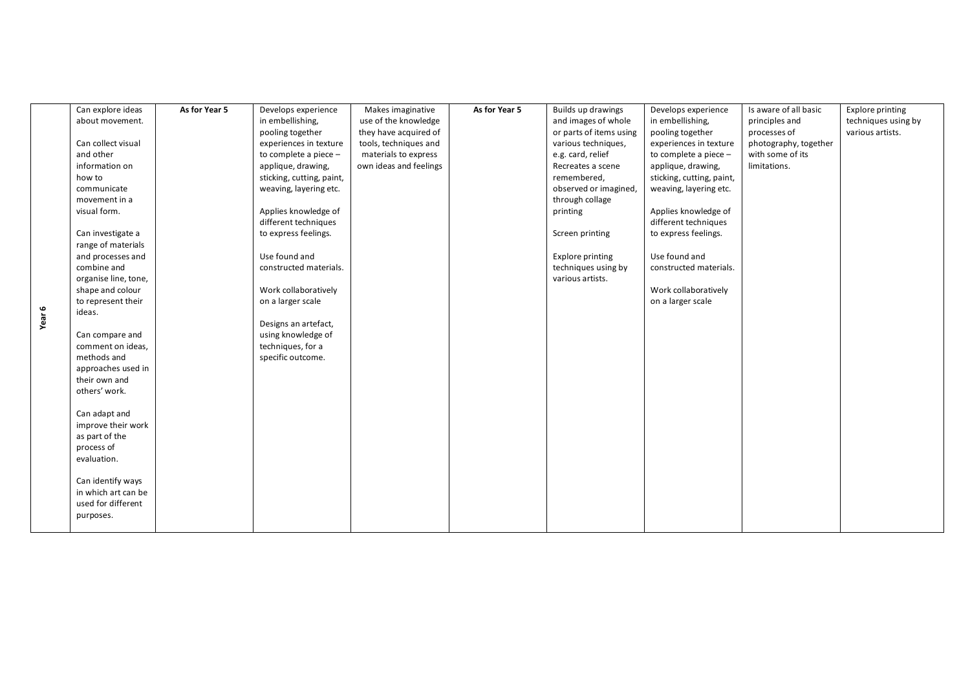|        | Can explore ideas            | As for Year 5 | Develops experience       | Makes imaginative      | As for Year 5 | Builds up drawings      | Develops experience       | Is aware of all basic | <b>Explore printing</b> |
|--------|------------------------------|---------------|---------------------------|------------------------|---------------|-------------------------|---------------------------|-----------------------|-------------------------|
|        | about movement.              |               | in embellishing,          | use of the knowledge   |               | and images of whole     | in embellishing,          | principles and        | techniques using by     |
|        |                              |               | pooling together          | they have acquired of  |               | or parts of items using | pooling together          | processes of          | various artists.        |
|        | Can collect visual           |               | experiences in texture    | tools, techniques and  |               | various techniques,     | experiences in texture    | photography, together |                         |
|        | and other                    |               | to complete a piece $-$   | materials to express   |               | e.g. card, relief       | to complete a piece -     | with some of its      |                         |
|        | information on               |               | applique, drawing,        | own ideas and feelings |               | Recreates a scene       | applique, drawing,        | limitations.          |                         |
|        | how to                       |               | sticking, cutting, paint, |                        |               | remembered,             | sticking, cutting, paint, |                       |                         |
|        | communicate                  |               | weaving, layering etc.    |                        |               | observed or imagined,   | weaving, layering etc.    |                       |                         |
|        | movement in a                |               |                           |                        |               | through collage         |                           |                       |                         |
|        | visual form.                 |               | Applies knowledge of      |                        |               | printing                | Applies knowledge of      |                       |                         |
|        |                              |               | different techniques      |                        |               |                         | different techniques      |                       |                         |
|        | Can investigate a            |               | to express feelings.      |                        |               | Screen printing         | to express feelings.      |                       |                         |
|        | range of materials           |               |                           |                        |               |                         |                           |                       |                         |
|        | and processes and            |               | Use found and             |                        |               | Explore printing        | Use found and             |                       |                         |
|        | combine and                  |               | constructed materials.    |                        |               | techniques using by     | constructed materials.    |                       |                         |
|        | organise line, tone,         |               |                           |                        |               | various artists.        |                           |                       |                         |
|        | shape and colour             |               | Work collaboratively      |                        |               |                         | Work collaboratively      |                       |                         |
|        | to represent their<br>ideas. |               | on a larger scale         |                        |               |                         | on a larger scale         |                       |                         |
| Year 6 |                              |               | Designs an artefact,      |                        |               |                         |                           |                       |                         |
|        | Can compare and              |               | using knowledge of        |                        |               |                         |                           |                       |                         |
|        | comment on ideas,            |               | techniques, for a         |                        |               |                         |                           |                       |                         |
|        | methods and                  |               | specific outcome.         |                        |               |                         |                           |                       |                         |
|        | approaches used in           |               |                           |                        |               |                         |                           |                       |                         |
|        | their own and                |               |                           |                        |               |                         |                           |                       |                         |
|        | others' work.                |               |                           |                        |               |                         |                           |                       |                         |
|        |                              |               |                           |                        |               |                         |                           |                       |                         |
|        | Can adapt and                |               |                           |                        |               |                         |                           |                       |                         |
|        | improve their work           |               |                           |                        |               |                         |                           |                       |                         |
|        | as part of the               |               |                           |                        |               |                         |                           |                       |                         |
|        | process of                   |               |                           |                        |               |                         |                           |                       |                         |
|        | evaluation.                  |               |                           |                        |               |                         |                           |                       |                         |
|        | Can identify ways            |               |                           |                        |               |                         |                           |                       |                         |
|        | in which art can be          |               |                           |                        |               |                         |                           |                       |                         |
|        | used for different           |               |                           |                        |               |                         |                           |                       |                         |
|        | purposes.                    |               |                           |                        |               |                         |                           |                       |                         |
|        |                              |               |                           |                        |               |                         |                           |                       |                         |
|        |                              |               |                           |                        |               |                         |                           |                       |                         |